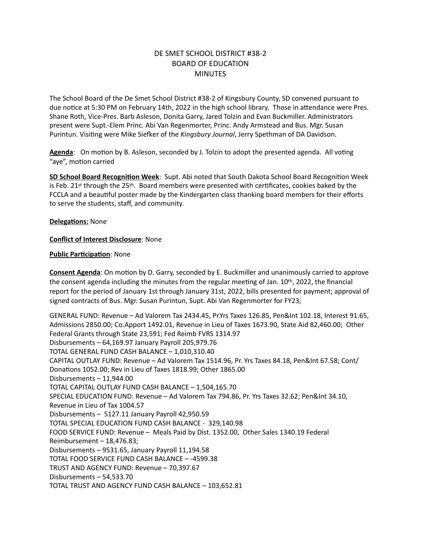## DE SMET SCHOOL DISTRICT #38-2 BOARD OF EDUCATION **MINUTES**

The School Board of the De Smet School District #38-2 of Kingsbury County, SD convened pursuant to due notice at 5:30 PM on February 14th, 2022 in the high school library. Those in attendance were Pres. Shane Roth, Vice-Pres. Barb Asleson, Donita Garry, Jared Tolzin and Evan Buckmiller. Administrators present were Supt.-Elem Princ. Abi Van Regenmorter, Princ. Andy Armstead and Bus. Mgr. Susan Purintun. Visiting were Mike Siefker of the *Kingsbury Journal*, Jerry Spethman of DA Davidson.

**Agenda**: On motion by B. Asleson, seconded by J. Tolzin to adopt the presented agenda. All voting "aye", motion carried

**SD School Board Recognition Week**: Supt. Abi noted that South Dakota School Board Recognition Week is Feb.  $21^{st}$  through the  $25^{th}$ . Board members were presented with certificates, cookies baked by the FCCLA and a beautiful poster made by the Kindergarten class thanking board members for their efforts to serve the students, staff, and community.

**Delegations:** None

**Conflict of Interest Disclosure**: None

## **Public Participation**: None

**Consent Agenda**: On motion by D. Garry, seconded by E. Buckmiller and unanimously carried to approve the consent agenda including the minutes from the regular meeting of Jan. 10th, 2022, the financial report for the period of January 1st through January 31st, 2022, bills presented for payment; approval of signed contracts of Bus. Mgr. Susan Purintun, Supt. Abi Van Regenmorter for FY23;

GENERAL FUND: Revenue – Ad Valorem Tax 2434.45, Pr.Yrs Taxes 126.85, Pen&Int 102.18, Interest 91.65, Admissions 2850.00; Co.Apport 1492.01, Revenue in Lieu of Taxes 1673.90, State Aid 82,460.00; Other Federal Grants through State 23,591; Fed Reimb FVRS 1314.97 Disbursements – 64,169.97 January Payroll 205,979.76 TOTAL GENERAL FUND CASH BALANCE – 1,010,310.40 CAPITAL OUTLAY FUND: Revenue – Ad Valorem Tax 1514.96, Pr. Yrs Taxes 84.18, Pen&Int 67.58; Cont/ Donations 1052.00; Rev in Lieu of Taxes 1818.99; Other 1865.00 Disbursements – 11,944.00 TOTAL CAPITAL OUTLAY FUND CASH BALANCE – 1,504,165.70 SPECIAL EDUCATION FUND: Revenue – Ad Valorem Tax 794.86, Pr. Yrs Taxes 32.62; Pen&Int 34.10, Revenue in Lieu of Tax 1004.57 Disbursements – 5127.11 January Payroll 42,950.59 TOTAL SPECIAL EDUCATION FUND CASH BALANCE - 329,140.98 FOOD SERVICE FUND: Revenue – Meals Paid by Dist. 1352.00, Other Sales 1340.19 Federal Reimbursement – 18,476.83; Disbursements – 9531.65, January Payroll 11,194.58 TOTAL FOOD SERVICE FUND CASH BALANCE – -4599.38 TRUST AND AGENCY FUND: Revenue – 70,397.67 Disbursements – 54,533.70 TOTAL TRUST AND AGENCY FUND CASH BALANCE – 103,652.81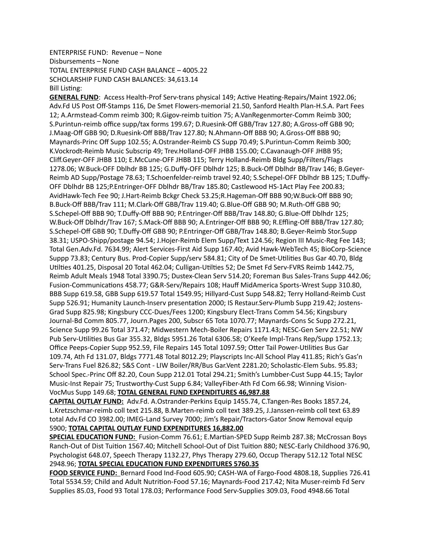## ENTERPRISE FUND: Revenue – None Disbursements – None TOTAL ENTERPRISE FUND CASH BALANCE – 4005.22 SCHOLARSHIP FUND CASH BALANCES: 34,613.14 Bill Listing:

**GENERAL FUND**: Access Health-Prof Serv-trans physical 149; Active Heating-Repairs/Maint 1922.06; Adv.Fd US Post Off-Stamps 116, De Smet Flowers-memorial 21.50, Sanford Health Plan-H.S.A. Part Fees 12; A.Armstead-Comm reimb 300; R.Gigov-reimb tuition 75; A.VanRegenmorter-Comm Reimb 300; S.Purintun-reimb office supp/tax forms 199.67; D.Ruesink-Off GBB/Trav 127.80; A.Gross-off GBB 90; J.Maag-Off GBB 90; D.Ruesink-Off BBB/Trav 127.80; N.Ahmann-Off BBB 90; A.Gross-Off BBB 90; Maynards-Princ Off Supp 102.55; A.Ostrander-Reimb CS Supp 70.49; S.Purintun-Comm Reimb 300; K.Vockrodt-Reimb Music Subscrip 49; Trev.Holland-OFF JHBB 155.00; C.Cavanaugh-OFF JHBB 95; Cliff.Geyer-OFF JHBB 110; E.McCune-OFF JHBB 115; Terry Holland-Reimb Bldg Supp/Filters/Flags 1278.06; W.Buck-OFF Dblhdr BB 125; G.Duffy-OFF Dblhdr 125; B.Buck-Off Dblhdr BB/Trav 146; B.Geyer-Reimb AD Supp/Postage 78.63; T.Schoenfelder-reimb travel 92.40; S.Schepel-OFF Dblhdr BB 125; T.Duffy-OFF Dblhdr BB 125;P.Entringer-OFF Dblhdr BB/Trav 185.80; Castlewood HS-1Act Play Fee 200.83; AvidHawk-Tech Fee 90; J.Hart-Reimb Bckgr Check 53.25;R.Hageman-Off BBB 90;W.Buck-Off BBB 90; B.Buck-Off BBB/Trav 111; M.Clark-Off GBB/Trav 119.40; G.Blue-Off GBB 90; M.Ruth-Off GBB 90; S.Schepel-Off BBB 90; T.Duffy-Off BBB 90; P.Entringer-Off BBB/Trav 148.80; G.Blue-Off Dblhdr 125; W.Buck-Off Dblhdr/Trav 167; S.Mack-Off BBB 90; A.Entringer-Off BBB 90; R.Effling-Off BBB/Trav 127.80; S.Schepel-Off GBB 90; T.Duffy-Off GBB 90; P.Entringer-Off GBB/Trav 148.80; B.Geyer-Reimb Stor.Supp 38.31; USPO-Shipp/postage 94.54; J.Hojer-Reimb Elem Supp/Text 124.56; Region III Music-Reg Fee 143; Total Gen.Adv.Fd. 7634.99; Alert Services-First Aid Supp 167.40; Avid Hawk-WebTech 45; BioCorp-Science Suppp 73.83; Century Bus. Prod-Copier Supp/serv 584.81; City of De Smet-Utilities Bus Gar 40.70, Bldg Utilties 401.25, Disposal 20 Total 462.04; Culligan-Utilties 52; De Smet Fd Serv-FVRS Reimb 1442.75, Reimb Adult Meals 1948 Total 3390.75; Dustex-Clean Serv 514.20; Foreman Bus Sales-Trans Supp 442.06; Fusion-Communications 458.77; G&R-Serv/Repairs 108; Hauff MidAmerica Sports-Wrest Supp 310.80, BBB Supp 619.58, GBB Supp 619.57 Total 1549.95; Hillyard-Cust Supp 548.82; Terry Holland-Reimb Cust Supp 526.91; Humanity Launch-Inserv presentation 2000; IS Restaur.Serv-Plumb Supp 219.42; Jostens-Grad Supp 825.98; Kingsbury CCC-Dues/Fees 1200; Kingsbury Elect-Trans Comm 54.56; Kingsbury Journal-Bd Comm 805.77, Journ.Pages 200, Subscr 65 Tota 1070.77; Maynards-Cons Sc Supp 272.21, Science Supp 99.26 Total 371.47; Midwestern Mech-Boiler Repairs 1171.43; NESC-Gen Serv 22.51; NW Pub Serv-Utilities Bus Gar 355.32, Bldgs 5951.26 Total 6306.58; O'Keefe Impl-Trans Rep/Supp 1752.13; Office Peeps-Copier Supp 952.59, File Repairs 145 Total 1097.59; Otter Tail Power-Utilities Bus Gar 109.74, Ath Fd 131.07, Bldgs 7771.48 Total 8012.29; Playscripts Inc-All School Play 411.85; Rich's Gas'n Serv-Trans Fuel 826.82; S&S Cont - LIW Boiler/RR/Bus Gar.Vent 2281.20; Scholastic-Elem Subs. 95.83; School Spec.-Princ Off 82.20, Coun Supp 212.01 Total 294.21; Smith's Lumbber-Cust Supp 44.15; Taylor Music-Inst Repair 75; Trustworthy-Cust Supp 6.84; ValleyFiber-Ath Fd Com 66.98; Winning Vision-VocMus Supp 149.68; **TOTAL GENERAL FUND EXPENDITURES 46,987.88**

**CAPITAL OUTLAY FUND:** Adv.Fd. A.Ostrander-Perkins Equip 1455.74, C.Tangen-Res Books 1857.24, L.Kretzschmar-reimb coll text 215.88, B.Marten-reimb coll text 389.25, J.Janssen-reimb coll text 63.89 total Adv.Fd CO 3982.00; IMEG-Land Survey 7000; Jim's Repair/Tractors-Gator Snow Removal equip 5900; **TOTAL CAPITAL OUTLAY FUND EXPENDITURES 16,882.00**

**SPECIAL EDUCATION FUND:** Fusion-Comm 76.61; E.Martian-SPED Supp Reimb 287.38; McCrossan Boys Ranch-Out of Dist Tuition 1567.40; Mitchell School-Out of Dist Tuition 880; NESC-Early Childhood 376.90, Psychologist 648.07, Speech Therapy 1132.27, Phys Therapy 279.60, Occup Therapy 512.12 Total NESC 2948.96; **TOTAL SPECIAL EDUCATION FUND EXPENDITURES 5760.35**

**FOOD SERVICE FUND:** Bernard Food Ind-Food 605.90; CASH-WA of Fargo-Food 4808.18, Supplies 726.41 Total 5534.59; Child and Adult Nutrition-Food 57.16; Maynards-Food 217.42; Nita Muser-reimb Fd Serv Supplies 85.03, Food 93 Total 178.03; Performance Food Serv-Supplies 309.03, Food 4948.66 Total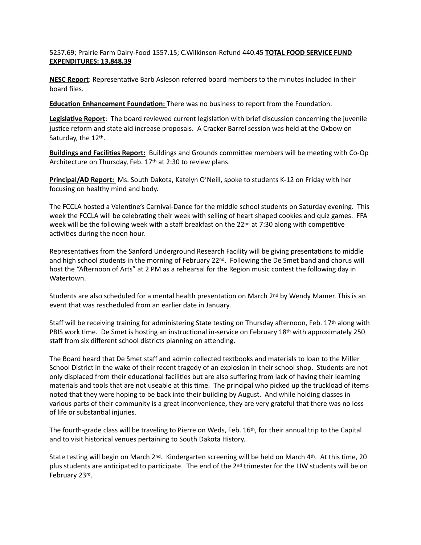5257.69; Prairie Farm Dairy-Food 1557.15; C.Wilkinson-Refund 440.45 **TOTAL FOOD SERVICE FUND EXPENDITURES: 13,848.39**

**NESC Report**: Representative Barb Asleson referred board members to the minutes included in their board files.

**Education Enhancement Foundation:** There was no business to report from the Foundation.

**Legislative Report**: The board reviewed current legislation with brief discussion concerning the juvenile justice reform and state aid increase proposals. A Cracker Barrel session was held at the Oxbow on Saturday, the 12th.

**Buildings and Facilities Report:** Buildings and Grounds committee members will be meeting with Co-Op Architecture on Thursday, Feb. 17th at 2:30 to review plans.

**Principal/AD Report:** Ms. South Dakota, Katelyn O'Neill, spoke to students K-12 on Friday with her focusing on healthy mind and body.

The FCCLA hosted a Valentine's Carnival-Dance for the middle school students on Saturday evening. This week the FCCLA will be celebrating their week with selling of heart shaped cookies and quiz games. FFA week will be the following week with a staff breakfast on the  $22^{nd}$  at 7:30 along with competitive activities during the noon hour.

Representatives from the Sanford Underground Research Facility will be giving presentations to middle and high school students in the morning of February 22<sup>nd</sup>. Following the De Smet band and chorus will host the "Afternoon of Arts" at 2 PM as a rehearsal for the Region music contest the following day in Watertown.

Students are also scheduled for a mental health presentation on March  $2^{nd}$  by Wendy Mamer. This is an event that was rescheduled from an earlier date in January.

Staff will be receiving training for administering State testing on Thursday afternoon, Feb. 17th along with PBIS work time. De Smet is hosting an instructional in-service on February 18th with approximately 250 staff from six different school districts planning on attending.

The Board heard that De Smet staff and admin collected textbooks and materials to loan to the Miller School District in the wake of their recent tragedy of an explosion in their school shop. Students are not only displaced from their educational facilities but are also suffering from lack of having their learning materials and tools that are not useable at this time. The principal who picked up the truckload of items noted that they were hoping to be back into their building by August. And while holding classes in various parts of their community is a great inconvenience, they are very grateful that there was no loss of life or substantial injuries.

The fourth-grade class will be traveling to Pierre on Weds, Feb. 16th, for their annual trip to the Capital and to visit historical venues pertaining to South Dakota History.

State testing will begin on March 2<sup>nd</sup>. Kindergarten screening will be held on March 4<sup>th</sup>. At this time, 20 plus students are anticipated to participate. The end of the  $2<sup>nd</sup>$  trimester for the LIW students will be on February 23rd.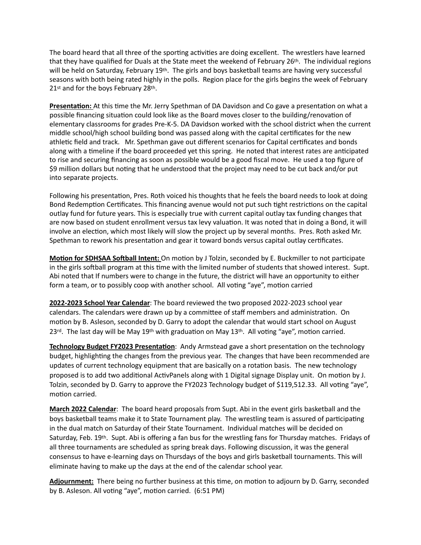The board heard that all three of the sporting activities are doing excellent. The wrestlers have learned that they have qualified for Duals at the State meet the weekend of February 26<sup>th</sup>. The individual regions will be held on Saturday, February 19<sup>th</sup>. The girls and boys basketball teams are having very successful seasons with both being rated highly in the polls. Region place for the girls begins the week of February 21st and for the boys February 28th.

**Presentation:** At this time the Mr. Jerry Spethman of DA Davidson and Co gave a presentation on what a possible financing situation could look like as the Board moves closer to the building/renovation of elementary classrooms for grades Pre-K-5. DA Davidson worked with the school district when the current middle school/high school building bond was passed along with the capital certificates for the new athletic field and track. Mr. Spethman gave out different scenarios for Capital certificates and bonds along with a timeline if the board proceeded yet this spring. He noted that interest rates are anticipated to rise and securing financing as soon as possible would be a good fiscal move. He used a top figure of \$9 million dollars but noting that he understood that the project may need to be cut back and/or put into separate projects.

Following his presentation, Pres. Roth voiced his thoughts that he feels the board needs to look at doing Bond Redemption Certificates. This financing avenue would not put such tight restrictions on the capital outlay fund for future years. This is especially true with current capital outlay tax funding changes that are now based on student enrollment versus tax levy valuation. It was noted that in doing a Bond, it will involve an election, which most likely will slow the project up by several months. Pres. Roth asked Mr. Spethman to rework his presentation and gear it toward bonds versus capital outlay certificates.

**Motion for SDHSAA Softball Intent:** On motion by J Tolzin, seconded by E. Buckmiller to not participate in the girls softball program at this time with the limited number of students that showed interest. Supt. Abi noted that If numbers were to change in the future, the district will have an opportunity to either form a team, or to possibly coop with another school. All voting "aye", motion carried

**2022-2023 School Year Calendar**: The board reviewed the two proposed 2022-2023 school year calendars. The calendars were drawn up by a committee of staff members and administration. On motion by B. Asleson, seconded by D. Garry to adopt the calendar that would start school on August 23<sup>rd</sup>. The last day will be May 19<sup>th</sup> with graduation on May 13<sup>th</sup>. All voting "aye", motion carried.

**Technology Budget FY2023 Presentation**: Andy Armstead gave a short presentation on the technology budget, highlighting the changes from the previous year. The changes that have been recommended are updates of current technology equipment that are basically on a rotation basis. The new technology proposed is to add two additional ActivPanels along with 1 Digital signage Display unit. On motion by J. Tolzin, seconded by D. Garry to approve the FY2023 Technology budget of \$119,512.33. All voting "aye", motion carried.

**March 2022 Calendar**: The board heard proposals from Supt. Abi in the event girls basketball and the boys basketball teams make it to State Tournament play. The wrestling team is assured of participating in the dual match on Saturday of their State Tournament. Individual matches will be decided on Saturday, Feb. 19th. Supt. Abi is offering a fan bus for the wrestling fans for Thursday matches. Fridays of all three tournaments are scheduled as spring break days. Following discussion, it was the general consensus to have e-learning days on Thursdays of the boys and girls basketball tournaments. This will eliminate having to make up the days at the end of the calendar school year.

**Adjournment:** There being no further business at this time, on motion to adjourn by D. Garry, seconded by B. Asleson. All voting "aye", motion carried. (6:51 PM)